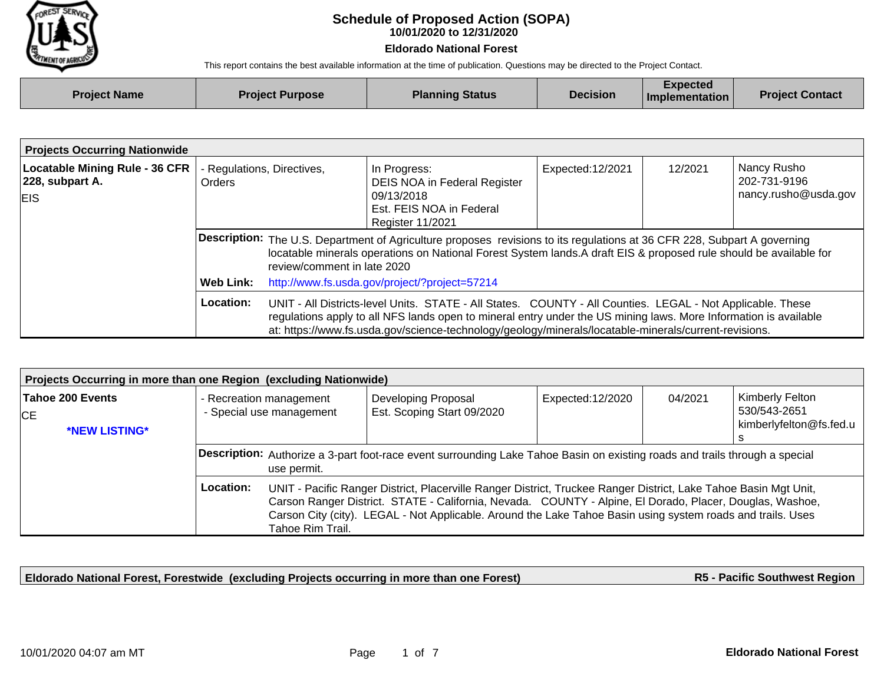

## **10/01/2020 to 12/31/2020 Schedule of Proposed Action (SOPA)**

## **Eldorado National Forest**

This report contains the best available information at the time of publication. Questions may be directed to the Project Contact.

| <b>Project Name</b> | <b>Project Purpose</b> | <b>Planning Status</b> | <b>Decision</b> | .xpected<br>Implementation | <b>Project Contact</b> |
|---------------------|------------------------|------------------------|-----------------|----------------------------|------------------------|
|                     |                        |                        |                 |                            |                        |

| <b>Projects Occurring Nationwide</b>                                   |                                                                                                                                                                                                                                                                                      |                                                                                                                                                                                                                                                                                                                                         |                                                                                                                   |                  |                                                                |  |  |  |
|------------------------------------------------------------------------|--------------------------------------------------------------------------------------------------------------------------------------------------------------------------------------------------------------------------------------------------------------------------------------|-----------------------------------------------------------------------------------------------------------------------------------------------------------------------------------------------------------------------------------------------------------------------------------------------------------------------------------------|-------------------------------------------------------------------------------------------------------------------|------------------|----------------------------------------------------------------|--|--|--|
| <b>Locatable Mining Rule - 36 CFR</b><br>228, subpart A.<br><b>EIS</b> | Orders                                                                                                                                                                                                                                                                               | Regulations, Directives,                                                                                                                                                                                                                                                                                                                | In Progress:<br>DEIS NOA in Federal Register<br>09/13/2018<br>Est. FEIS NOA in Federal<br><b>Register 11/2021</b> | Expected:12/2021 | Nancy Rusho<br>12/2021<br>202-731-9196<br>nancy.rusho@usda.gov |  |  |  |
|                                                                        | <b>Description:</b> The U.S. Department of Agriculture proposes revisions to its regulations at 36 CFR 228, Subpart A governing<br>locatable minerals operations on National Forest System lands. A draft EIS & proposed rule should be available for<br>review/comment in late 2020 |                                                                                                                                                                                                                                                                                                                                         |                                                                                                                   |                  |                                                                |  |  |  |
|                                                                        | <b>Web Link:</b>                                                                                                                                                                                                                                                                     |                                                                                                                                                                                                                                                                                                                                         | http://www.fs.usda.gov/project/?project=57214                                                                     |                  |                                                                |  |  |  |
|                                                                        | Location:                                                                                                                                                                                                                                                                            | UNIT - All Districts-level Units. STATE - All States. COUNTY - All Counties. LEGAL - Not Applicable. These<br>regulations apply to all NFS lands open to mineral entry under the US mining laws. More Information is available<br>at: https://www.fs.usda.gov/science-technology/geology/minerals/locatable-minerals/current-revisions. |                                                                                                                   |                  |                                                                |  |  |  |

| Projects Occurring in more than one Region (excluding Nationwide) |                                                                                                                                            |                                                                                                                                                                                                                                                                                                                                                                 |                                                   |                   |         |                                                            |  |  |
|-------------------------------------------------------------------|--------------------------------------------------------------------------------------------------------------------------------------------|-----------------------------------------------------------------------------------------------------------------------------------------------------------------------------------------------------------------------------------------------------------------------------------------------------------------------------------------------------------------|---------------------------------------------------|-------------------|---------|------------------------------------------------------------|--|--|
| Tahoe 200 Events<br><b>ICE</b><br>*NEW LISTING*                   |                                                                                                                                            | - Recreation management<br>- Special use management                                                                                                                                                                                                                                                                                                             | Developing Proposal<br>Est. Scoping Start 09/2020 | Expected: 12/2020 | 04/2021 | Kimberly Felton<br>530/543-2651<br>kimberlyfelton@fs.fed.u |  |  |
|                                                                   | Description: Authorize a 3-part foot-race event surrounding Lake Tahoe Basin on existing roads and trails through a special<br>use permit. |                                                                                                                                                                                                                                                                                                                                                                 |                                                   |                   |         |                                                            |  |  |
|                                                                   | Location:                                                                                                                                  | UNIT - Pacific Ranger District, Placerville Ranger District, Truckee Ranger District, Lake Tahoe Basin Mgt Unit,<br>Carson Ranger District. STATE - California, Nevada. COUNTY - Alpine, El Dorado, Placer, Douglas, Washoe,<br>Carson City (city). LEGAL - Not Applicable. Around the Lake Tahoe Basin using system roads and trails. Uses<br>Tahoe Rim Trail. |                                                   |                   |         |                                                            |  |  |

**Eldorado National Forest, Forestwide (excluding Projects occurring in more than one Forest)**

**R5 - Pacific Southwest Region**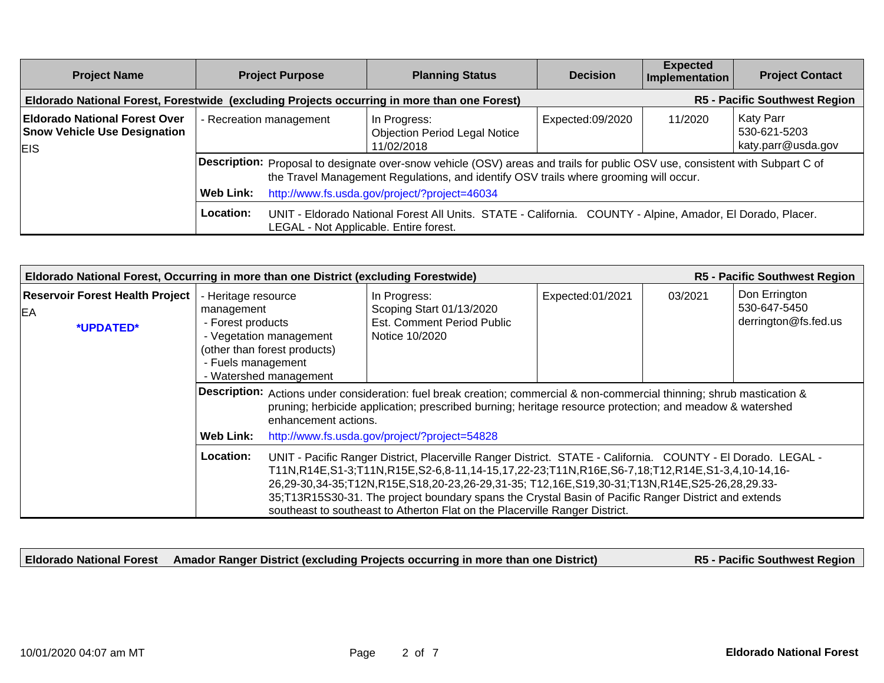| <b>Project Name</b>                                                                         | <b>Project Purpose</b>  |  | <b>Planning Status</b>                                                                                                                                                                                                                                                 | <b>Decision</b>                      | <b>Expected</b><br>Implementation | <b>Project Contact</b>                          |
|---------------------------------------------------------------------------------------------|-------------------------|--|------------------------------------------------------------------------------------------------------------------------------------------------------------------------------------------------------------------------------------------------------------------------|--------------------------------------|-----------------------------------|-------------------------------------------------|
| Eldorado National Forest, Forestwide (excluding Projects occurring in more than one Forest) |                         |  |                                                                                                                                                                                                                                                                        | <b>R5 - Pacific Southwest Region</b> |                                   |                                                 |
| <b>Eldorado National Forest Over</b><br><b>Snow Vehicle Use Designation</b><br>EIS.         | - Recreation management |  | In Progress:<br><b>Objection Period Legal Notice</b><br>11/02/2018                                                                                                                                                                                                     | Expected:09/2020                     | 11/2020                           | Katy Parr<br>530-621-5203<br>katy.parr@usda.gov |
|                                                                                             | Web Link:               |  | Description: Proposal to designate over-snow vehicle (OSV) areas and trails for public OSV use, consistent with Subpart C of<br>the Travel Management Regulations, and identify OSV trails where grooming will occur.<br>http://www.fs.usda.gov/project/?project=46034 |                                      |                                   |                                                 |
|                                                                                             | Location:               |  | UNIT - Eldorado National Forest All Units. STATE - California. COUNTY - Alpine, Amador, El Dorado, Placer.<br>LEGAL - Not Applicable. Entire forest.                                                                                                                   |                                      |                                   |                                                 |

| Eldorado National Forest, Occurring in more than one District (excluding Forestwide)<br>R5 - Pacific Southwest Region |                                                                                                                                                                   |                                                                                                                                                                                                                                                                                                                                                                                                                                                                                                      |                  |         |                                                       |  |  |
|-----------------------------------------------------------------------------------------------------------------------|-------------------------------------------------------------------------------------------------------------------------------------------------------------------|------------------------------------------------------------------------------------------------------------------------------------------------------------------------------------------------------------------------------------------------------------------------------------------------------------------------------------------------------------------------------------------------------------------------------------------------------------------------------------------------------|------------------|---------|-------------------------------------------------------|--|--|
| <b>Reservoir Forest Health Project</b><br>EA<br>*UPDATED*                                                             | - Heritage resource<br>management<br>- Forest products<br>- Vegetation management<br>(other than forest products)<br>- Fuels management<br>- Watershed management | In Progress:<br>Scoping Start 01/13/2020<br>Est. Comment Period Public<br>Notice 10/2020                                                                                                                                                                                                                                                                                                                                                                                                             | Expected:01/2021 | 03/2021 | Don Errington<br>530-647-5450<br>derrington@fs.fed.us |  |  |
|                                                                                                                       |                                                                                                                                                                   | Description: Actions under consideration: fuel break creation; commercial & non-commercial thinning; shrub mastication &<br>pruning; herbicide application; prescribed burning; heritage resource protection; and meadow & watershed<br>enhancement actions.                                                                                                                                                                                                                                         |                  |         |                                                       |  |  |
|                                                                                                                       | <b>Web Link:</b>                                                                                                                                                  | http://www.fs.usda.gov/project/?project=54828                                                                                                                                                                                                                                                                                                                                                                                                                                                        |                  |         |                                                       |  |  |
|                                                                                                                       | Location:                                                                                                                                                         | UNIT - Pacific Ranger District, Placerville Ranger District. STATE - California. COUNTY - El Dorado. LEGAL -<br>T11N,R14E,S1-3;T11N,R15E,S2-6,8-11,14-15,17,22-23;T11N,R16E,S6-7,18;T12,R14E,S1-3,4,10-14,16-<br>26,29-30,34-35;T12N,R15E,S18,20-23,26-29,31-35; T12,16E,S19,30-31;T13N,R14E,S25-26,28,29.33-<br>35;T13R15S30-31. The project boundary spans the Crystal Basin of Pacific Ranger District and extends<br>southeast to southeast to Atherton Flat on the Placerville Ranger District. |                  |         |                                                       |  |  |

**Eldorado National Forest Amador Ranger District (excluding Projects occurring in more than one District)**

**R5 - Pacific Southwest Region**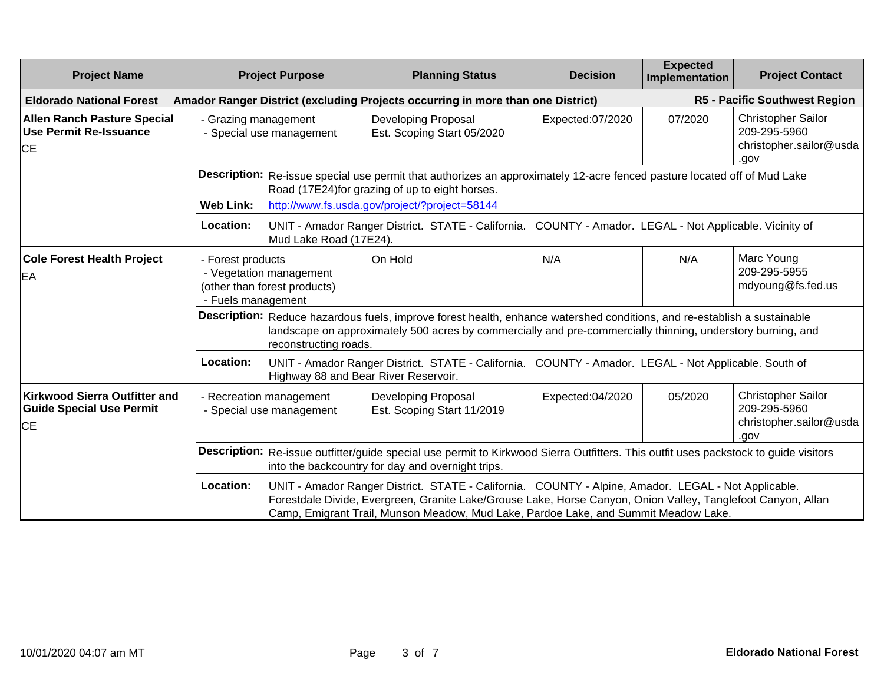| <b>Project Name</b>                                                            | <b>Project Purpose</b>                                                                                                                                                                    | <b>Planning Status</b>                                                                                                                                                                                                                                                                                     | <b>Decision</b>  | <b>Expected</b><br>Implementation | <b>Project Contact</b>                                                       |  |
|--------------------------------------------------------------------------------|-------------------------------------------------------------------------------------------------------------------------------------------------------------------------------------------|------------------------------------------------------------------------------------------------------------------------------------------------------------------------------------------------------------------------------------------------------------------------------------------------------------|------------------|-----------------------------------|------------------------------------------------------------------------------|--|
| <b>Eldorado National Forest</b>                                                |                                                                                                                                                                                           | Amador Ranger District (excluding Projects occurring in more than one District)                                                                                                                                                                                                                            |                  |                                   | R5 - Pacific Southwest Region                                                |  |
| <b>Allen Ranch Pasture Special</b><br><b>Use Permit Re-Issuance</b><br>lСE     | - Grazing management<br>- Special use management                                                                                                                                          | Developing Proposal<br>Est. Scoping Start 05/2020                                                                                                                                                                                                                                                          | Expected:07/2020 | 07/2020                           | <b>Christopher Sailor</b><br>209-295-5960<br>christopher.sailor@usda<br>.gov |  |
|                                                                                |                                                                                                                                                                                           | Description: Re-issue special use permit that authorizes an approximately 12-acre fenced pasture located off of Mud Lake<br>Road (17E24) for grazing of up to eight horses.                                                                                                                                |                  |                                   |                                                                              |  |
|                                                                                | <b>Web Link:</b>                                                                                                                                                                          | http://www.fs.usda.gov/project/?project=58144                                                                                                                                                                                                                                                              |                  |                                   |                                                                              |  |
|                                                                                | Location:<br>Mud Lake Road (17E24).                                                                                                                                                       | UNIT - Amador Ranger District. STATE - California. COUNTY - Amador. LEGAL - Not Applicable. Vicinity of                                                                                                                                                                                                    |                  |                                   |                                                                              |  |
| <b>Cole Forest Health Project</b><br>EA                                        | - Forest products<br>- Vegetation management<br>(other than forest products)<br>- Fuels management                                                                                        | On Hold                                                                                                                                                                                                                                                                                                    | N/A              | N/A                               | Marc Young<br>209-295-5955<br>mdyoung@fs.fed.us                              |  |
|                                                                                | reconstructing roads.                                                                                                                                                                     | Description: Reduce hazardous fuels, improve forest health, enhance watershed conditions, and re-establish a sustainable<br>landscape on approximately 500 acres by commercially and pre-commercially thinning, understory burning, and                                                                    |                  |                                   |                                                                              |  |
|                                                                                | Location:<br>Highway 88 and Bear River Reservoir.                                                                                                                                         | UNIT - Amador Ranger District. STATE - California. COUNTY - Amador. LEGAL - Not Applicable. South of                                                                                                                                                                                                       |                  |                                   |                                                                              |  |
| <b>Kirkwood Sierra Outfitter and</b><br><b>Guide Special Use Permit</b><br>IСE | - Recreation management<br>- Special use management                                                                                                                                       | Developing Proposal<br>Est. Scoping Start 11/2019                                                                                                                                                                                                                                                          | Expected:04/2020 | 05/2020                           | Christopher Sailor<br>209-295-5960<br>christopher.sailor@usda<br>.gov        |  |
|                                                                                | Description: Re-issue outfitter/guide special use permit to Kirkwood Sierra Outfitters. This outfit uses packstock to guide visitors<br>into the backcountry for day and overnight trips. |                                                                                                                                                                                                                                                                                                            |                  |                                   |                                                                              |  |
|                                                                                | Location:                                                                                                                                                                                 | UNIT - Amador Ranger District. STATE - California. COUNTY - Alpine, Amador. LEGAL - Not Applicable.<br>Forestdale Divide, Evergreen, Granite Lake/Grouse Lake, Horse Canyon, Onion Valley, Tanglefoot Canyon, Allan<br>Camp, Emigrant Trail, Munson Meadow, Mud Lake, Pardoe Lake, and Summit Meadow Lake. |                  |                                   |                                                                              |  |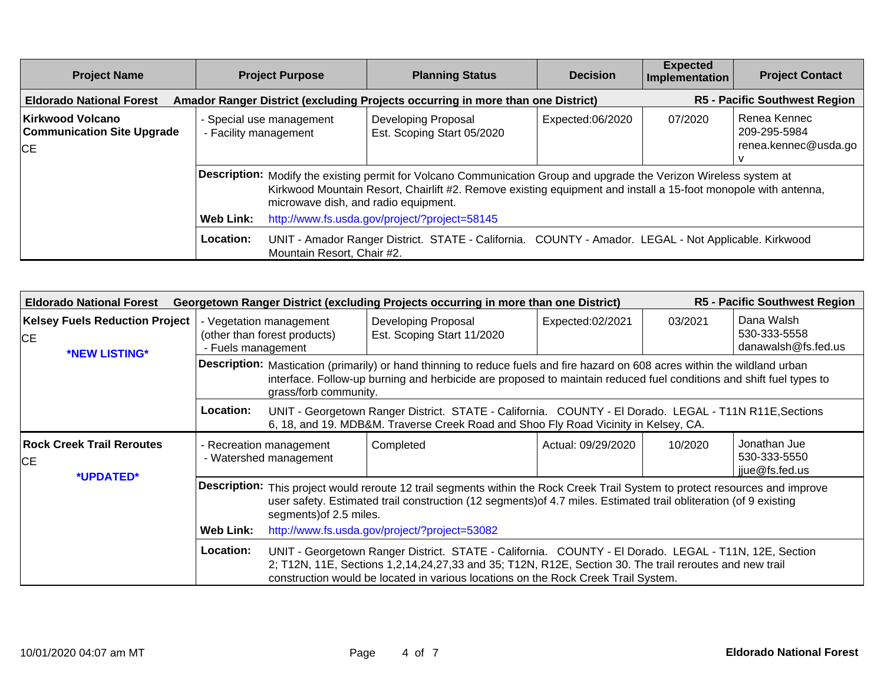| <b>Project Name</b>                                                       | <b>Project Purpose</b>                            | <b>Planning Status</b>                                                                                                                                                                                                                                                                                                        | <b>Decision</b>  | <b>Expected</b><br>Implementation | <b>Project Contact</b>                               |
|---------------------------------------------------------------------------|---------------------------------------------------|-------------------------------------------------------------------------------------------------------------------------------------------------------------------------------------------------------------------------------------------------------------------------------------------------------------------------------|------------------|-----------------------------------|------------------------------------------------------|
| <b>Eldorado National Forest</b>                                           |                                                   | Amador Ranger District (excluding Projects occurring in more than one District)                                                                                                                                                                                                                                               |                  |                                   | <b>R5 - Pacific Southwest Region</b>                 |
| <b>Kirkwood Volcano</b><br><b>Communication Site Upgrade</b><br><b>CE</b> | - Special use management<br>- Facility management | Developing Proposal<br>Est. Scoping Start 05/2020                                                                                                                                                                                                                                                                             | Expected:06/2020 | 07/2020                           | Renea Kennec<br>209-295-5984<br>renea.kennec@usda.go |
|                                                                           | Web Link:                                         | Description: Modify the existing permit for Volcano Communication Group and upgrade the Verizon Wireless system at<br>Kirkwood Mountain Resort, Chairlift #2. Remove existing equipment and install a 15-foot monopole with antenna,<br>microwave dish, and radio equipment.<br>http://www.fs.usda.gov/project/?project=58145 |                  |                                   |                                                      |
|                                                                           | Location:<br>Mountain Resort, Chair #2.           | UNIT - Amador Ranger District. STATE - California. COUNTY - Amador. LEGAL - Not Applicable. Kirkwood                                                                                                                                                                                                                          |                  |                                   |                                                      |

| R5 - Pacific Southwest Region<br>Georgetown Ranger District (excluding Projects occurring in more than one District)<br><b>Eldorado National Forest</b> |                    |                                                                                                                                                                                                                                                                               |                                                                                                                                                                                                                                                                                                        |                    |         |                                                   |  |
|---------------------------------------------------------------------------------------------------------------------------------------------------------|--------------------|-------------------------------------------------------------------------------------------------------------------------------------------------------------------------------------------------------------------------------------------------------------------------------|--------------------------------------------------------------------------------------------------------------------------------------------------------------------------------------------------------------------------------------------------------------------------------------------------------|--------------------|---------|---------------------------------------------------|--|
| <b>Kelsey Fuels Reduction Project</b><br><b>CE</b><br>*NEW LISTING*                                                                                     | - Fuels management | - Vegetation management<br>(other than forest products)                                                                                                                                                                                                                       | Developing Proposal<br>Est. Scoping Start 11/2020                                                                                                                                                                                                                                                      | Expected:02/2021   | 03/2021 | Dana Walsh<br>530-333-5558<br>danawalsh@fs.fed.us |  |
|                                                                                                                                                         |                    | Description: Mastication (primarily) or hand thinning to reduce fuels and fire hazard on 608 acres within the wildland urban<br>interface. Follow-up burning and herbicide are proposed to maintain reduced fuel conditions and shift fuel types to<br>grass/forb community.  |                                                                                                                                                                                                                                                                                                        |                    |         |                                                   |  |
|                                                                                                                                                         | Location:          |                                                                                                                                                                                                                                                                               | UNIT - Georgetown Ranger District. STATE - California. COUNTY - El Dorado. LEGAL - T11N R11E, Sections<br>6, 18, and 19. MDB&M. Traverse Creek Road and Shoo Fly Road Vicinity in Kelsey, CA.                                                                                                          |                    |         |                                                   |  |
| <b>Rock Creek Trail Reroutes</b><br><b>CE</b><br>*UPDATED*                                                                                              |                    | - Recreation management<br>- Watershed management                                                                                                                                                                                                                             | Completed                                                                                                                                                                                                                                                                                              | Actual: 09/29/2020 | 10/2020 | Jonathan Jue<br>530-333-5550<br>jiue@fs.fed.us    |  |
|                                                                                                                                                         |                    | Description: This project would reroute 12 trail segments within the Rock Creek Trail System to protect resources and improve<br>user safety. Estimated trail construction (12 segments) of 4.7 miles. Estimated trail obliteration (of 9 existing<br>segments) of 2.5 miles. |                                                                                                                                                                                                                                                                                                        |                    |         |                                                   |  |
|                                                                                                                                                         | <b>Web Link:</b>   |                                                                                                                                                                                                                                                                               | http://www.fs.usda.gov/project/?project=53082                                                                                                                                                                                                                                                          |                    |         |                                                   |  |
|                                                                                                                                                         | <b>Location:</b>   |                                                                                                                                                                                                                                                                               | UNIT - Georgetown Ranger District. STATE - California. COUNTY - El Dorado. LEGAL - T11N, 12E, Section<br>2; T12N, 11E, Sections 1,2,14,24,27,33 and 35; T12N, R12E, Section 30. The trail reroutes and new trail<br>construction would be located in various locations on the Rock Creek Trail System. |                    |         |                                                   |  |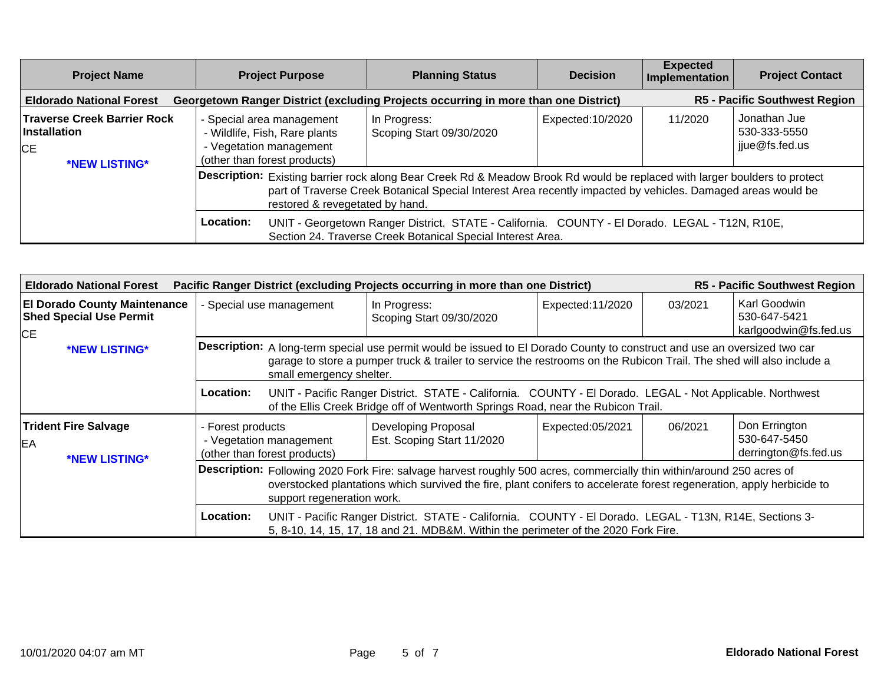| <b>Project Name</b>                                                                      | <b>Project Purpose</b>                                                                                                | <b>Planning Status</b>                                                                                                                                                                                                                                                                                                                                                                                      | <b>Decision</b>  | <b>Expected</b><br>Implementation | <b>Project Contact</b>                         |
|------------------------------------------------------------------------------------------|-----------------------------------------------------------------------------------------------------------------------|-------------------------------------------------------------------------------------------------------------------------------------------------------------------------------------------------------------------------------------------------------------------------------------------------------------------------------------------------------------------------------------------------------------|------------------|-----------------------------------|------------------------------------------------|
| <b>Eldorado National Forest</b>                                                          |                                                                                                                       | Georgetown Ranger District (excluding Projects occurring in more than one District)                                                                                                                                                                                                                                                                                                                         |                  |                                   | <b>R5 - Pacific Southwest Region</b>           |
| <b>Traverse Creek Barrier Rock</b><br><b>Installation</b><br><b>ICE</b><br>*NEW LISTING* | - Special area management<br>- Wildlife, Fish, Rare plants<br>- Vegetation management<br>(other than forest products) | In Progress:<br>Scoping Start 09/30/2020                                                                                                                                                                                                                                                                                                                                                                    | Expected:10/2020 | 11/2020                           | Jonathan Jue<br>530-333-5550<br>jjue@fs.fed.us |
|                                                                                          | restored & revegetated by hand.<br>Location:                                                                          | Description: Existing barrier rock along Bear Creek Rd & Meadow Brook Rd would be replaced with larger boulders to protect<br>part of Traverse Creek Botanical Special Interest Area recently impacted by vehicles. Damaged areas would be<br>UNIT - Georgetown Ranger District. STATE - California. COUNTY - El Dorado. LEGAL - T12N, R10E,<br>Section 24. Traverse Creek Botanical Special Interest Area. |                  |                                   |                                                |

| <b>Eldorado National Forest</b>                                                    | R5 - Pacific Southwest Region<br>Pacific Ranger District (excluding Projects occurring in more than one District) |                                                                                                                                                                                                                                                                               |                  |         |                                                       |  |  |  |
|------------------------------------------------------------------------------------|-------------------------------------------------------------------------------------------------------------------|-------------------------------------------------------------------------------------------------------------------------------------------------------------------------------------------------------------------------------------------------------------------------------|------------------|---------|-------------------------------------------------------|--|--|--|
| <b>El Dorado County Maintenance</b><br><b>Shed Special Use Permit</b><br><b>CE</b> | - Special use management                                                                                          | In Progress:<br>Scoping Start 09/30/2020                                                                                                                                                                                                                                      | Expected:11/2020 | 03/2021 | Karl Goodwin<br>530-647-5421<br>karlgoodwin@fs.fed.us |  |  |  |
| *NEW LISTING*                                                                      |                                                                                                                   | Description: A long-term special use permit would be issued to El Dorado County to construct and use an oversized two car<br>garage to store a pumper truck & trailer to service the restrooms on the Rubicon Trail. The shed will also include a<br>small emergency shelter. |                  |         |                                                       |  |  |  |
|                                                                                    | <b>Location:</b>                                                                                                  | UNIT - Pacific Ranger District. STATE - California. COUNTY - El Dorado. LEGAL - Not Applicable. Northwest<br>of the Ellis Creek Bridge off of Wentworth Springs Road, near the Rubicon Trail.                                                                                 |                  |         |                                                       |  |  |  |
| <b>Trident Fire Salvage</b><br>EA<br>*NEW LISTING*                                 | - Forest products<br>- Vegetation management<br>(other than forest products)                                      | <b>Developing Proposal</b><br>Est. Scoping Start 11/2020                                                                                                                                                                                                                      | Expected:05/2021 | 06/2021 | Don Errington<br>530-647-5450<br>derrington@fs.fed.us |  |  |  |
|                                                                                    |                                                                                                                   | Description: Following 2020 Fork Fire: salvage harvest roughly 500 acres, commercially thin within/around 250 acres of<br>overstocked plantations which survived the fire, plant conifers to accelerate forest regeneration, apply herbicide to<br>support regeneration work. |                  |         |                                                       |  |  |  |
|                                                                                    | <b>Location:</b>                                                                                                  | UNIT - Pacific Ranger District. STATE - California. COUNTY - El Dorado. LEGAL - T13N, R14E, Sections 3-<br>5, 8-10, 14, 15, 17, 18 and 21. MDB&M. Within the perimeter of the 2020 Fork Fire.                                                                                 |                  |         |                                                       |  |  |  |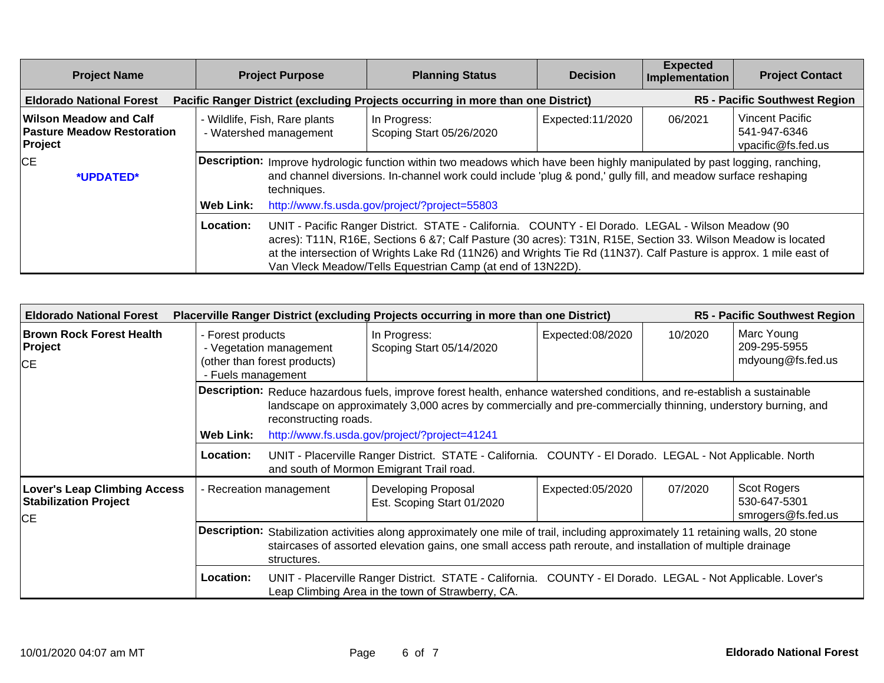| <b>Project Name</b>                                                    |                  | <b>Project Purpose</b>                                                                                                                                                                                                                                    | <b>Planning Status</b>                                                                                                                                                                                                                                                                                                                                                                               | <b>Decision</b>  | <b>Expected</b><br>Implementation | <b>Project Contact</b>                                       |
|------------------------------------------------------------------------|------------------|-----------------------------------------------------------------------------------------------------------------------------------------------------------------------------------------------------------------------------------------------------------|------------------------------------------------------------------------------------------------------------------------------------------------------------------------------------------------------------------------------------------------------------------------------------------------------------------------------------------------------------------------------------------------------|------------------|-----------------------------------|--------------------------------------------------------------|
| <b>Eldorado National Forest</b>                                        |                  |                                                                                                                                                                                                                                                           | Pacific Ranger District (excluding Projects occurring in more than one District)                                                                                                                                                                                                                                                                                                                     |                  |                                   | <b>R5 - Pacific Southwest Region</b>                         |
| Wilson Meadow and Calf<br><b>Pasture Meadow Restoration</b><br>Project |                  | - Wildlife, Fish, Rare plants<br>- Watershed management                                                                                                                                                                                                   | In Progress:<br>Scoping Start 05/26/2020                                                                                                                                                                                                                                                                                                                                                             | Expected:11/2020 | 06/2021                           | <b>Vincent Pacific</b><br>541-947-6346<br>vpacific@fs.fed.us |
| <b>CE</b><br>*UPDATED*                                                 |                  | Description: Improve hydrologic function within two meadows which have been highly manipulated by past logging, ranching,<br>and channel diversions. In-channel work could include 'plug & pond,' gully fill, and meadow surface reshaping<br>techniques. |                                                                                                                                                                                                                                                                                                                                                                                                      |                  |                                   |                                                              |
|                                                                        | <b>Web Link:</b> |                                                                                                                                                                                                                                                           | http://www.fs.usda.gov/project/?project=55803                                                                                                                                                                                                                                                                                                                                                        |                  |                                   |                                                              |
|                                                                        | Location:        |                                                                                                                                                                                                                                                           | UNIT - Pacific Ranger District. STATE - California. COUNTY - El Dorado. LEGAL - Wilson Meadow (90<br>acres): T11N, R16E, Sections 6 &7; Calf Pasture (30 acres): T31N, R15E, Section 33. Wilson Meadow is located<br>at the intersection of Wrights Lake Rd (11N26) and Wrights Tie Rd (11N37). Calf Pasture is approx. 1 mile east of<br>Van Vleck Meadow/Tells Equestrian Camp (at end of 13N22D). |                  |                                   |                                                              |

| <b>Eldorado National Forest</b>                                           |                                                                                                    |                                                                                                                                                                                                                                                                    | Placerville Ranger District (excluding Projects occurring in more than one District)                                                                             |                  |         | <b>R5 - Pacific Southwest Region</b>              |  |  |
|---------------------------------------------------------------------------|----------------------------------------------------------------------------------------------------|--------------------------------------------------------------------------------------------------------------------------------------------------------------------------------------------------------------------------------------------------------------------|------------------------------------------------------------------------------------------------------------------------------------------------------------------|------------------|---------|---------------------------------------------------|--|--|
| <b>Brown Rock Forest Health</b><br>Project<br><b>CE</b>                   | - Forest products<br>- Vegetation management<br>(other than forest products)<br>- Fuels management |                                                                                                                                                                                                                                                                    | In Progress:<br>Scoping Start 05/14/2020                                                                                                                         | Expected:08/2020 | 10/2020 | Marc Young<br>209-295-5955<br>mdyoung@fs.fed.us   |  |  |
|                                                                           |                                                                                                    | Description: Reduce hazardous fuels, improve forest health, enhance watershed conditions, and re-establish a sustainable<br>landscape on approximately 3,000 acres by commercially and pre-commercially thinning, understory burning, and<br>reconstructing roads. |                                                                                                                                                                  |                  |         |                                                   |  |  |
|                                                                           |                                                                                                    | <b>Web Link:</b><br>http://www.fs.usda.gov/project/?project=41241                                                                                                                                                                                                  |                                                                                                                                                                  |                  |         |                                                   |  |  |
|                                                                           | Location:                                                                                          |                                                                                                                                                                                                                                                                    | UNIT - Placerville Ranger District. STATE - California. COUNTY - El Dorado. LEGAL - Not Applicable. North<br>and south of Mormon Emigrant Trail road.            |                  |         |                                                   |  |  |
| <b>Lover's Leap Climbing Access</b><br><b>Stabilization Project</b><br>CE | - Recreation management                                                                            |                                                                                                                                                                                                                                                                    | Developing Proposal<br>Est. Scoping Start 01/2020                                                                                                                | Expected:05/2020 | 07/2020 | Scot Rogers<br>530-647-5301<br>smrogers@fs.fed.us |  |  |
|                                                                           |                                                                                                    | Description: Stabilization activities along approximately one mile of trail, including approximately 11 retaining walls, 20 stone<br>staircases of assorted elevation gains, one small access path reroute, and installation of multiple drainage<br>structures.   |                                                                                                                                                                  |                  |         |                                                   |  |  |
|                                                                           | <b>Location:</b>                                                                                   |                                                                                                                                                                                                                                                                    | UNIT - Placerville Ranger District. STATE - California. COUNTY - El Dorado. LEGAL - Not Applicable. Lover's<br>Leap Climbing Area in the town of Strawberry, CA. |                  |         |                                                   |  |  |